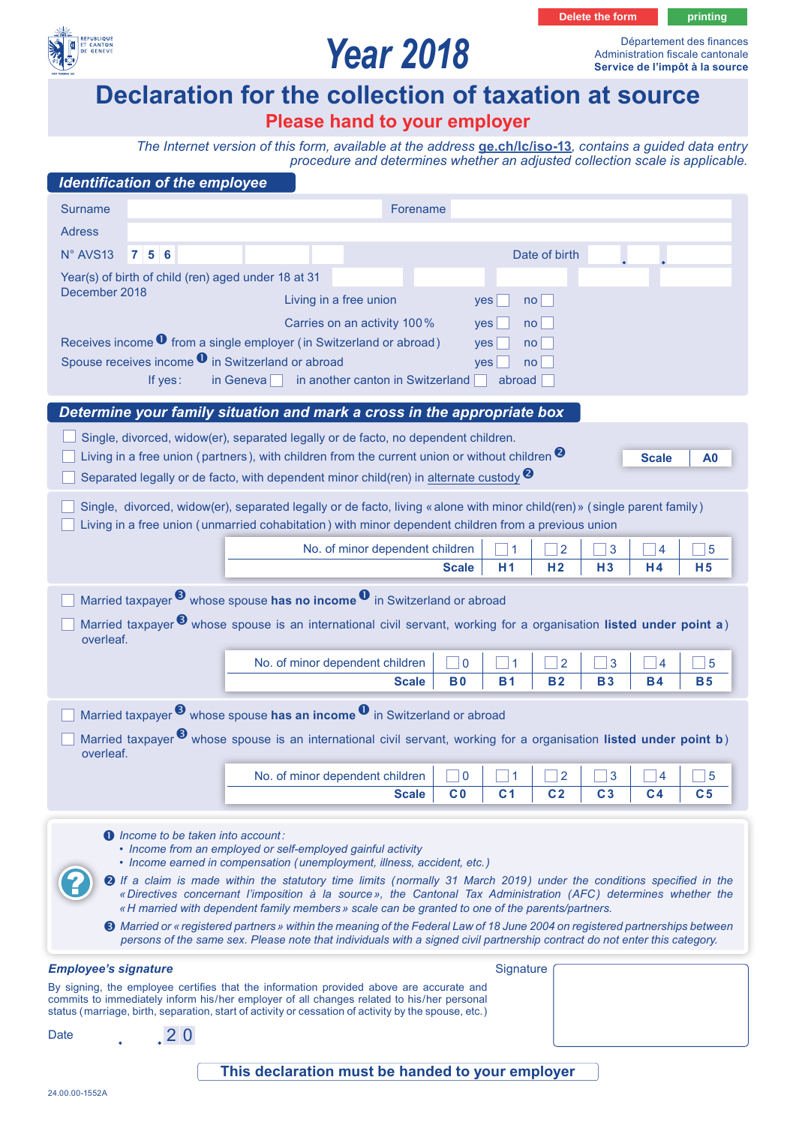

# *Year 2018*

Département des finances Administration fiscale cantonale **Service de l'impôt à la source**

**Delete the form being printing** 

## **Declaration for the collection of taxation at source**

### **Please hand to your employer**

*The Internet version of this form, available at the address* **[ge.ch/lc/iso-13](https://ge.ch/lc/iso-13)***, contains a guided data entry procedure and determines whether an adjusted collection scale is applicable.*

| <b>Identification of the employee</b>                                                                                                                                                                                                                                                        |                                                                                                                                                                                                        |                                                                                       |                 |                |                |                |
|----------------------------------------------------------------------------------------------------------------------------------------------------------------------------------------------------------------------------------------------------------------------------------------------|--------------------------------------------------------------------------------------------------------------------------------------------------------------------------------------------------------|---------------------------------------------------------------------------------------|-----------------|----------------|----------------|----------------|
| <b>Surname</b>                                                                                                                                                                                                                                                                               | Forename                                                                                                                                                                                               |                                                                                       |                 |                |                |                |
| <b>Adress</b>                                                                                                                                                                                                                                                                                |                                                                                                                                                                                                        |                                                                                       |                 |                |                |                |
| N° AVS13<br>756                                                                                                                                                                                                                                                                              |                                                                                                                                                                                                        |                                                                                       | Date of birth   |                |                |                |
| Year(s) of birth of child (ren) aged under 18 at 31                                                                                                                                                                                                                                          |                                                                                                                                                                                                        |                                                                                       |                 |                |                |                |
| December 2018                                                                                                                                                                                                                                                                                | Living in a free union                                                                                                                                                                                 | yes                                                                                   | no <sub>1</sub> |                |                |                |
|                                                                                                                                                                                                                                                                                              | Carries on an activity 100%                                                                                                                                                                            | yes                                                                                   | no <sub>1</sub> |                |                |                |
| Receives income <sup>0</sup> from a single employer (in Switzerland or abroad)<br>no <sub>l</sub><br>yes<br>Spouse receives income <sup>0</sup> in Switzerland or abroad                                                                                                                     |                                                                                                                                                                                                        |                                                                                       |                 |                |                |                |
| no <sub>1</sub><br>yes<br>in another canton in Switzerland<br>If yes:<br>in Geneva<br>abroad                                                                                                                                                                                                 |                                                                                                                                                                                                        |                                                                                       |                 |                |                |                |
|                                                                                                                                                                                                                                                                                              |                                                                                                                                                                                                        |                                                                                       |                 |                |                |                |
| Determine your family situation and mark a cross in the appropriate box                                                                                                                                                                                                                      |                                                                                                                                                                                                        |                                                                                       |                 |                |                |                |
|                                                                                                                                                                                                                                                                                              | Single, divorced, widow(er), separated legally or de facto, no dependent children.                                                                                                                     |                                                                                       |                 |                |                |                |
|                                                                                                                                                                                                                                                                                              | Living in a free union (partners), with children from the current union or without children $\bullet$<br>Separated legally or de facto, with dependent minor child(ren) in alternate custody $\bullet$ |                                                                                       |                 |                | <b>Scale</b>   | A0             |
|                                                                                                                                                                                                                                                                                              |                                                                                                                                                                                                        |                                                                                       |                 |                |                |                |
| Single, divorced, widow(er), separated legally or de facto, living « alone with minor child(ren) » (single parent family)<br>Living in a free union (unmarried cohabitation) with minor dependent children from a previous union                                                             |                                                                                                                                                                                                        |                                                                                       |                 |                |                |                |
|                                                                                                                                                                                                                                                                                              | No. of minor dependent children                                                                                                                                                                        | 1                                                                                     | $\overline{2}$  | 3              | 4              | 5              |
|                                                                                                                                                                                                                                                                                              |                                                                                                                                                                                                        | <b>Scale</b><br>H1                                                                    | H <sub>2</sub>  | H3             | H <sub>4</sub> | H <sub>5</sub> |
| Married taxpayer $\bullet$ whose spouse has no income $\bullet$ in Switzerland or abroad                                                                                                                                                                                                     |                                                                                                                                                                                                        |                                                                                       |                 |                |                |                |
| Married taxpayer <sup>3</sup> whose spouse is an international civil servant, working for a organisation listed under point a)                                                                                                                                                               |                                                                                                                                                                                                        |                                                                                       |                 |                |                |                |
| overleaf.                                                                                                                                                                                                                                                                                    |                                                                                                                                                                                                        |                                                                                       |                 |                |                |                |
|                                                                                                                                                                                                                                                                                              | No. of minor dependent children                                                                                                                                                                        | $\overline{0}$<br>-1                                                                  | $\overline{2}$  | 3              | $\overline{4}$ | 5              |
|                                                                                                                                                                                                                                                                                              | <b>Scale</b>                                                                                                                                                                                           | <b>B0</b><br><b>B1</b>                                                                | <b>B2</b>       | <b>B3</b>      | <b>B4</b>      | <b>B5</b>      |
| Married taxpayer $\bullet$ whose spouse has an income $\bullet$ in Switzerland or abroad                                                                                                                                                                                                     |                                                                                                                                                                                                        |                                                                                       |                 |                |                |                |
| Married taxpayer <sup>3</sup> whose spouse is an international civil servant, working for a organisation listed under point b)                                                                                                                                                               |                                                                                                                                                                                                        |                                                                                       |                 |                |                |                |
| overleaf.                                                                                                                                                                                                                                                                                    |                                                                                                                                                                                                        |                                                                                       |                 |                |                |                |
|                                                                                                                                                                                                                                                                                              | No. of minor dependent children                                                                                                                                                                        | $\lceil$ $\Box$ 0 $\vert$ $\Box$ 1 $\vert$ $\Box$ 2 $\vert$ $\Box$ 3 $\vert$ $\Box$ 4 |                 |                |                | 5              |
|                                                                                                                                                                                                                                                                                              | <b>Scale</b>                                                                                                                                                                                           | C <sub>0</sub><br>C <sub>1</sub>                                                      | C <sub>2</sub>  | C <sub>3</sub> | C <sub>4</sub> | C <sub>5</sub> |
| $\bullet$ Income to be taken into account:                                                                                                                                                                                                                                                   |                                                                                                                                                                                                        |                                                                                       |                 |                |                |                |
| • Income from an employed or self-employed gainful activity<br>• Income earned in compensation (unemployment, illness, accident, etc.)                                                                                                                                                       |                                                                                                                                                                                                        |                                                                                       |                 |                |                |                |
| <b>2</b> If a claim is made within the statutory time limits (normally 31 March 2019) under the conditions specified in the                                                                                                                                                                  |                                                                                                                                                                                                        |                                                                                       |                 |                |                |                |
| «Directives concernant l'imposition à la source», the Cantonal Tax Administration (AFC) determines whether the<br>« H married with dependent family members » scale can be granted to one of the parents/partners.                                                                           |                                                                                                                                                                                                        |                                                                                       |                 |                |                |                |
|                                                                                                                                                                                                                                                                                              | <b>●</b> Married or « registered partners » within the meaning of the Federal Law of 18 June 2004 on registered partnerships between                                                                   |                                                                                       |                 |                |                |                |
|                                                                                                                                                                                                                                                                                              | persons of the same sex. Please note that individuals with a signed civil partnership contract do not enter this category.                                                                             |                                                                                       |                 |                |                |                |
| <b>Employee's signature</b>                                                                                                                                                                                                                                                                  |                                                                                                                                                                                                        |                                                                                       | Signature       |                |                |                |
| By signing, the employee certifies that the information provided above are accurate and<br>commits to immediately inform his/her employer of all changes related to his/her personal<br>status (marriage, birth, separation, start of activity or cessation of activity by the spouse, etc.) |                                                                                                                                                                                                        |                                                                                       |                 |                |                |                |
| Date<br>.20                                                                                                                                                                                                                                                                                  |                                                                                                                                                                                                        |                                                                                       |                 |                |                |                |
|                                                                                                                                                                                                                                                                                              |                                                                                                                                                                                                        |                                                                                       |                 |                |                |                |
|                                                                                                                                                                                                                                                                                              | This declaration must be handed to your employer                                                                                                                                                       |                                                                                       |                 |                |                |                |

#### **This declaration must be handed to your employer**